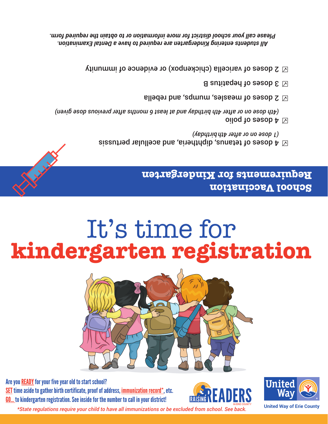Are you **READY** for your five year old to start school? SET time aside to gather birth certificate, proof of address, immunization record\*, etc. GO... to kindergarten registration. See inside for the number to call in your district!

XXX







# It's time for **kindergarten registration**

### **School Vaccination Requirements for Kindergarten**

- $\boxtimes$  4 doses of tetanus, diphtheria, and acellular pertussis *birthday) (1 dose on or after 4th*
- oilog to easob  ${\mathtt A}\boxtimes$ *(4th dose on or after 4th birthday and at least 6 months after previous dose given)*
- $\boxtimes$  2 doses of measles, mumps, and rebella
- $\Xi$  a sutitue bepatitus B
- $\Sigma \boxtimes$  doses of varicella (chickenpox) or evidence of immunity

*All students entering Kindergarten are required to have a Dental Examination. Please call your school district for more information or to obtain the required form.*